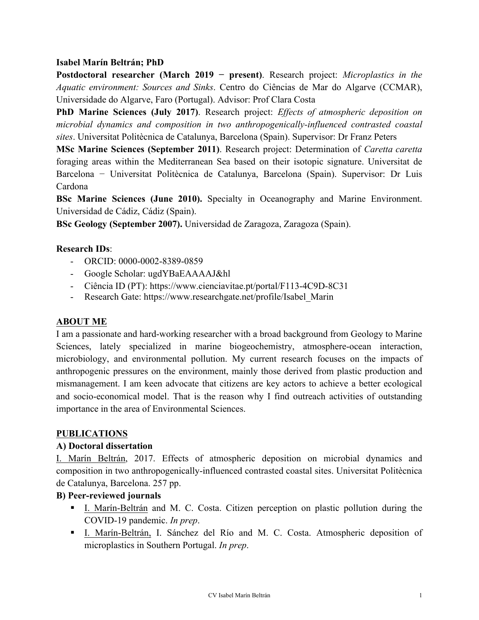### **Isabel Marín Beltrán; PhD**

**Postdoctoral researcher (March 2019 − present)**. Research project: *Microplastics in the Aquatic environment: Sources and Sinks*. Centro do Ciências de Mar do Algarve (CCMAR), Universidade do Algarve, Faro (Portugal). Advisor: Prof Clara Costa

**PhD Marine Sciences (July 2017)**. Research project: *Effects of atmospheric deposition on microbial dynamics and composition in two anthropogenically-influenced contrasted coastal sites*. Universitat Politècnica de Catalunya, Barcelona (Spain). Supervisor: Dr Franz Peters

**MSc Marine Sciences (September 2011)**. Research project: Determination of *Caretta caretta* foraging areas within the Mediterranean Sea based on their isotopic signature. Universitat de Barcelona − Universitat Politècnica de Catalunya, Barcelona (Spain). Supervisor: Dr Luis Cardona

**BSc Marine Sciences (June 2010).** Specialty in Oceanography and Marine Environment. Universidad de Cádiz, Cádiz (Spain).

**BSc Geology (September 2007).** Universidad de Zaragoza, Zaragoza (Spain).

### **Research IDs**:

- ORCID: 0000-0002-8389-0859
- Google Scholar: ugdYBaEAAAAJ&hl
- Ciência ID (PT): https://www.cienciavitae.pt/portal/F113-4C9D-8C31
- Research Gate: https://www.researchgate.net/profile/Isabel\_Marin

### **ABOUT ME**

I am a passionate and hard-working researcher with a broad background from Geology to Marine Sciences, lately specialized in marine biogeochemistry, atmosphere-ocean interaction, microbiology, and environmental pollution. My current research focuses on the impacts of anthropogenic pressures on the environment, mainly those derived from plastic production and mismanagement. I am keen advocate that citizens are key actors to achieve a better ecological and socio-economical model. That is the reason why I find outreach activities of outstanding importance in the area of Environmental Sciences.

### **PUBLICATIONS**

### **A) Doctoral dissertation**

I. Marín Beltrán, 2017. Effects of atmospheric deposition on microbial dynamics and composition in two anthropogenically-influenced contrasted coastal sites. Universitat Politècnica de Catalunya, Barcelona. 257 pp.

### **B) Peer-reviewed journals**

- ! I. Marín-Beltrán and M. C. Costa. Citizen perception on plastic pollution during the COVID-19 pandemic. *In prep*.
- ! I. Marín-Beltrán, I. Sánchez del Río and M. C. Costa. Atmospheric deposition of microplastics in Southern Portugal. *In prep*.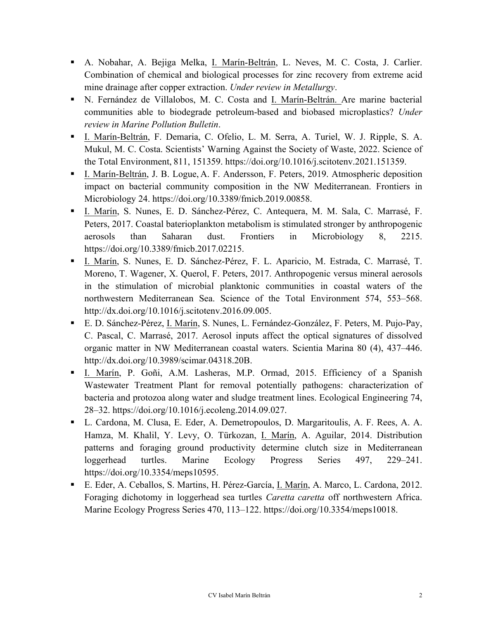- ! A. Nobahar, A. Bejiga Melka, I. Marín-Beltrán, L. Neves, M. C. Costa, J. Carlier. Combination of chemical and biological processes for zinc recovery from extreme acid mine drainage after copper extraction. *Under review in Metallurgy*.
- ! N. Fernández de Villalobos, M. C. Costa and I. Marín-Beltrán. Are marine bacterial communities able to biodegrade petroleum-based and biobased microplastics? *Under review in Marine Pollution Bulletin*.
- ! I. Marín-Beltrán, F. Demaria, C. Ofelio, L. M. Serra, A. Turiel, W. J. Ripple, S. A. Mukul, M. C. Costa. Scientists' Warning Against the Society of Waste, 2022. Science of the Total Environment, 811, 151359. https://doi.org/10.1016/j.scitotenv.2021.151359.
- ! I. Marín-Beltrán, J. B. Logue, A. F. Andersson, F. Peters, 2019. Atmospheric deposition impact on bacterial community composition in the NW Mediterranean. Frontiers in Microbiology 24. https://doi.org/10.3389/fmicb.2019.00858.
- ! I. Marín, S. Nunes, E. D. Sánchez-Pérez, C. Antequera, M. M. Sala, C. Marrasé, F. Peters, 2017. Coastal baterioplankton metabolism is stimulated stronger by anthropogenic aerosols than Saharan dust. Frontiers in Microbiology 8, 2215. https://doi.org/10.3389/fmicb.2017.02215.
- ! I. Marín, S. Nunes, E. D. Sánchez-Pérez, F. L. Aparicio, M. Estrada, C. Marrasé, T. Moreno, T. Wagener, X. Querol, F. Peters, 2017. Anthropogenic versus mineral aerosols in the stimulation of microbial planktonic communities in coastal waters of the northwestern Mediterranean Sea. Science of the Total Environment 574, 553–568. http://dx.doi.org/10.1016/j.scitotenv.2016.09.005.
- ! E. D. Sánchez-Pérez, I. Marín, S. Nunes, L. Fernández-González, F. Peters, M. Pujo-Pay, C. Pascal, C. Marrasé, 2017. Aerosol inputs affect the optical signatures of dissolved organic matter in NW Mediterranean coastal waters. Scientia Marina 80 (4), 437–446. http://dx.doi.org/10.3989/scimar.04318.20B.
- ! I. Marín, P. Goñi, A.M. Lasheras, M.P. Ormad, 2015. Efficiency of a Spanish Wastewater Treatment Plant for removal potentially pathogens: characterization of bacteria and protozoa along water and sludge treatment lines. Ecological Engineering 74, 28–32. https://doi.org/10.1016/j.ecoleng.2014.09.027.
- ! L. Cardona, M. Clusa, E. Eder, A. Demetropoulos, D. Margaritoulis, A. F. Rees, A. A. Hamza, M. Khalil, Y. Levy, O. Türkozan, I. Marín, A. Aguilar, 2014. Distribution patterns and foraging ground productivity determine clutch size in Mediterranean loggerhead turtles. Marine Ecology Progress Series 497, 229–241. https://doi.org/10.3354/meps10595.
- ! E. Eder, A. Ceballos, S. Martins, H. Pérez-García, I. Marín, A. Marco, L. Cardona, 2012. Foraging dichotomy in loggerhead sea turtles *Caretta caretta* off northwestern Africa. Marine Ecology Progress Series 470, 113–122. https://doi.org/10.3354/meps10018.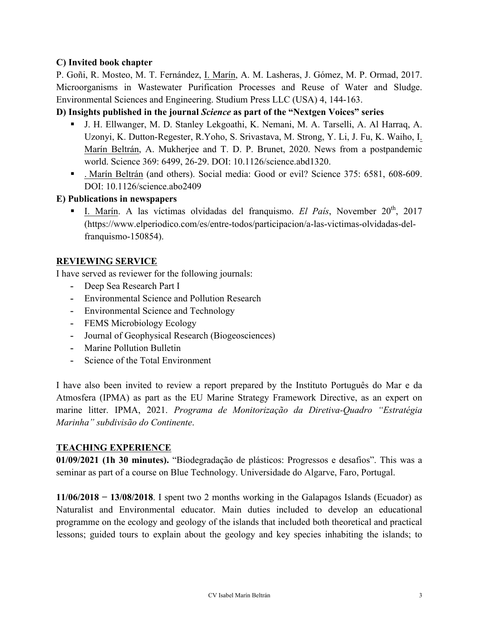### **C) Invited book chapter**

P. Goñi, R. Mosteo, M. T. Fernández, I. Marín, A. M. Lasheras, J. Gómez, M. P. Ormad, 2017. Microorganisms in Wastewater Purification Processes and Reuse of Water and Sludge. Environmental Sciences and Engineering. Studium Press LLC (USA) 4, 144-163.

### **D) Insights published in the journal** *Science* **as part of the "Nextgen Voices" series**

- ! J. H. Ellwanger, M. D. Stanley Lekgoathi, K. Nemani, M. A. Tarselli, A. Al Harraq, A. Uzonyi, K. Dutton-Regester, R.Yoho, S. Srivastava, M. Strong, Y. Li, J. Fu, K. Waiho, I. Marín Beltrán, A. Mukherjee and T. D. P. Brunet, 2020. News from a postpandemic world. Science 369: 6499, 26-29. DOI: 10.1126/science.abd1320.
- ! . Marín Beltrán (and others). Social media: Good or evil? Science 375: 6581, 608-609. DOI: 10.1126/science.abo2409

### **E) Publications in newspapers**

! I. Marín. A las víctimas olvidadas del franquismo. *El País*, November 20th, 2017 (https://www.elperiodico.com/es/entre-todos/participacion/a-las-victimas-olvidadas-delfranquismo-150854).

## **REVIEWING SERVICE**

I have served as reviewer for the following journals:

- **-** Deep Sea Research Part I
- **-** Environmental Science and Pollution Research
- **-** Environmental Science and Technology
- **-** FEMS Microbiology Ecology
- **-** Journal of Geophysical Research (Biogeosciences)
- **-** Marine Pollution Bulletin
- **-** Science of the Total Environment

I have also been invited to review a report prepared by the Instituto Português do Mar e da Atmosfera (IPMA) as part as the EU Marine Strategy Framework Directive, as an expert on marine litter. IPMA, 2021. *Programa de Monitorização da Diretiva-Quadro "Estratégia Marinha" subdivisão do Continente*.

### **TEACHING EXPERIENCE**

**01/09/2021 (1h 30 minutes).** "Biodegradação de plásticos: Progressos e desafios". This was a seminar as part of a course on Blue Technology. Universidade do Algarve, Faro, Portugal.

**11/06/2018 − 13/08/2018**. I spent two 2 months working in the Galapagos Islands (Ecuador) as Naturalist and Environmental educator. Main duties included to develop an educational programme on the ecology and geology of the islands that included both theoretical and practical lessons; guided tours to explain about the geology and key species inhabiting the islands; to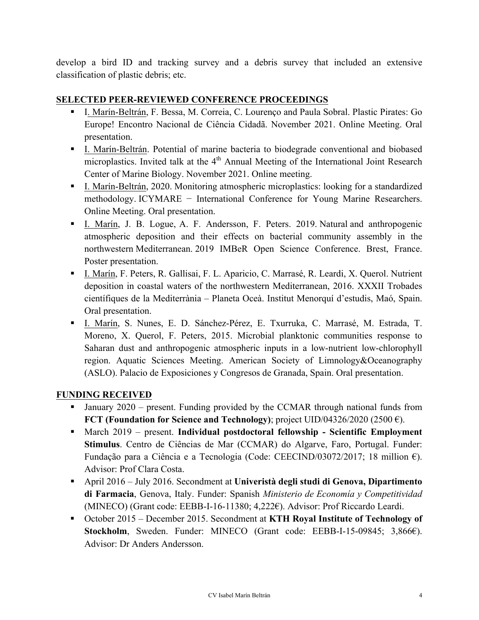develop a bird ID and tracking survey and a debris survey that included an extensive classification of plastic debris; etc.

## **SELECTED PEER-REVIEWED CONFERENCE PROCEEDINGS**

- ! I. Marín-Beltrán, F. Bessa, M. Correia, C. Lourenço and Paula Sobral. Plastic Pirates: Go Europe! Encontro Nacional de Ciência Cidadã. November 2021. Online Meeting. Oral presentation.
- ! I. Marín-Beltrán. Potential of marine bacteria to biodegrade conventional and biobased microplastics. Invited talk at the  $4<sup>th</sup>$  Annual Meeting of the International Joint Research Center of Marine Biology. November 2021. Online meeting.
- ! I. Marín-Beltrán, 2020. Monitoring atmospheric microplastics: looking for a standardized methodology. ICYMARE − International Conference for Young Marine Researchers. Online Meeting. Oral presentation.
- ! I. Marín, J. B. Logue, A. F. Andersson, F. Peters. 2019. Natural and anthropogenic atmospheric deposition and their effects on bacterial community assembly in the northwestern Mediterranean. 2019 IMBeR Open Science Conference. Brest, France. Poster presentation.
- ! I. Marín, F. Peters, R. Gallisai, F. L. Aparicio, C. Marrasé, R. Leardi, X. Querol. Nutrient deposition in coastal waters of the northwestern Mediterranean, 2016. XXXII Trobades científiques de la Mediterrània – Planeta Oceà. Institut Menorquí d'estudis, Maó, Spain. Oral presentation.
- ! I. Marín, S. Nunes, E. D. Sánchez-Pérez, E. Txurruka, C. Marrasé, M. Estrada, T. Moreno, X. Querol, F. Peters, 2015. Microbial planktonic communities response to Saharan dust and anthropogenic atmospheric inputs in a low-nutrient low-chlorophyll region. Aquatic Sciences Meeting. American Society of Limnology&Oceanography (ASLO). Palacio de Exposiciones y Congresos de Granada, Spain. Oral presentation.

## **FUNDING RECEIVED**

- ! January 2020 present. Funding provided by the CCMAR through national funds from **FCT (Foundation for Science and Technology)**; project UID/04326/2020 (2500  $\epsilon$ ).
- ! March 2019 present. **Individual postdoctoral fellowship - Scientific Employment Stimulus**. Centro de Ciências de Mar (CCMAR) do Algarve, Faro, Portugal. Funder: Fundação para a Ciência e a Tecnologia (Code: CEECIND/03072/2017; 18 million €). Advisor: Prof Clara Costa.
- ! April 2016 July 2016. Secondment at **Univeristà degli studi di Genova, Dipartimento di Farmacia**, Genova, Italy. Funder: Spanish *Ministerio de Economía y Competitividad* (MINECO) (Grant code: EEBB-I-16-11380; 4,222€). Advisor: Prof Riccardo Leardi.
- ! October 2015 December 2015. Secondment at **KTH Royal Institute of Technology of Stockholm**, Sweden. Funder: MINECO (Grant code: EEBB-I-15-09845; 3,866€). Advisor: Dr Anders Andersson.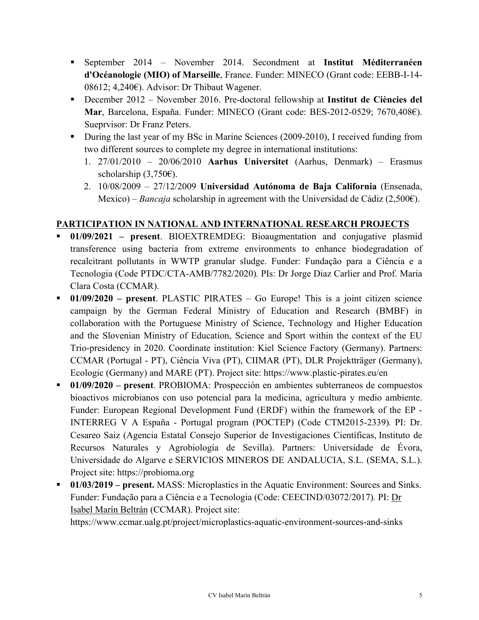- ! September 2014 November 2014. Secondment at **Institut Méditerranéen d'Océanologie (MIO) of Marseille**, France. Funder: MINECO (Grant code: EEBB-I-14- 08612; 4,240€). Advisor: Dr Thibaut Wagener.
- ! December 2012 November 2016. Pre-doctoral fellowship at **Institut de Ciències del Mar**, Barcelona, España. Funder: MINECO (Grant code: BES-2012-0529; 7670,408€). Sueprvisor: Dr Franz Peters.
- ! During the last year of my BSc in Marine Sciences (2009-2010), I received funding from two different sources to complete my degree in international institutions:
	- 1. 27/01/2010 20/06/2010 **Aarhus Universitet** (Aarhus, Denmark) Erasmus scholarship  $(3,750)$ .
	- 2. 10/08/2009 27/12/2009 **Universidad Autónoma de Baja California** (Ensenada, Mexico) – *Bancaja* scholarship in agreement with the Universidad de Cádiz (2,500€).

# **PARTICIPATION IN NATIONAL AND INTERNATIONAL RESEARCH PROJECTS**

- ! **01/09/2021 – present**. BIOEXTREMDEG: Bioaugmentation and conjugative plasmid transference using bacteria from extreme environments to enhance biodegradation of recalcitrant pollutants in WWTP granular sludge. Funder: Fundação para a Ciência e a Tecnologia (Code PTDC/CTA-AMB/7782/2020)*.* PIs: Dr Jorge Diaz Carlier and Prof. Maria Clara Costa (CCMAR).
- ! **01/09/2020 – present**. PLASTIC PIRATES Go Europe! This is a joint citizen science campaign by the German Federal Ministry of Education and Research (BMBF) in collaboration with the Portuguese Ministry of Science, Technology and Higher Education and the Slovenian Ministry of Education, Science and Sport within the context of the EU Trio-presidency in 2020. Coordinate institution: Kiel Science Factory (Germany). Partners: CCMAR (Portugal - PT), Ciência Viva (PT), CIIMAR (PT), DLR Projektträger (Germany), Ecologic (Germany) and MARE (PT). Project site: https://www.plastic-pirates.eu/en
- ! **01/09/2020 – present**. PROBIOMA: Prospección en ambientes subterraneos de compuestos bioactivos microbianos con uso potencial para la medicina, agricultura y medio ambiente. Funder: European Regional Development Fund (ERDF) within the framework of the EP - INTERREG V A España - Portugal program (POCTEP) (Code CTM2015-2339)*.* PI: Dr. Cesareo Saiz (Agencia Estatal Consejo Superior de Investigaciones Científicas, Instituto de Recursos Naturales y Agrobiología de Sevilla). Partners: Universidade de Évora, Universidade do Algarve e SERVICIOS MINEROS DE ANDALUCIA, S.L. (SEMA, S.L.). Project site: https://probioma.org
- ! **01/03/2019 – present.** MASS: Microplastics in the Aquatic Environment: Sources and Sinks. Funder: Fundação para a Ciência e a Tecnologia (Code: CEECIND/03072/2017)*.* PI: Dr Isabel Marín Beltrán (CCMAR). Project site:

https://www.ccmar.ualg.pt/project/microplastics-aquatic-environment-sources-and-sinks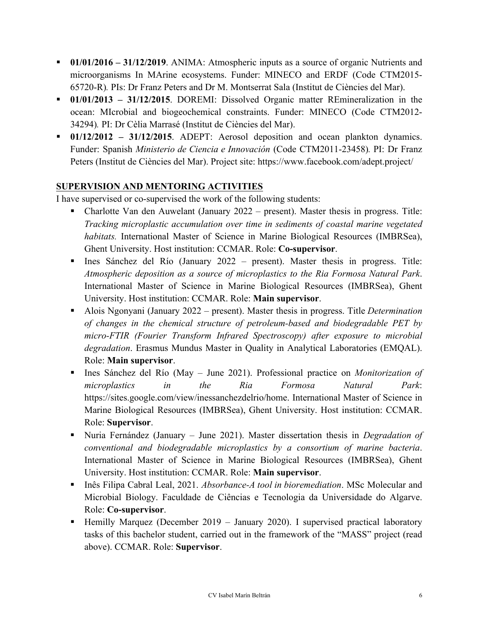- ! **01/01/2016 – 31/12/2019**. ANIMA: Atmospheric inputs as a source of organic Nutrients and microorganisms In MArine ecosystems. Funder: MINECO and ERDF (Code CTM2015- 65720-R)*.* PIs: Dr Franz Peters and Dr M. Montserrat Sala (Institut de Ciències del Mar).
- ! **01/01/2013 – 31/12/2015**. DOREMI: Dissolved Organic matter REmineralization in the ocean: MIcrobial and biogeochemical constraints. Funder: MINECO (Code CTM2012- 34294)*.* PI: Dr Cèlia Marrasé (Institut de Ciències del Mar).
- ! **01/12/2012 – 31/12/2015**. ADEPT: Aerosol deposition and ocean plankton dynamics. Funder: Spanish *Ministerio de Ciencia e Innovación* (Code CTM2011-23458)*.* PI: Dr Franz Peters (Institut de Ciències del Mar). Project site: https://www.facebook.com/adept.project/

## **SUPERVISION AND MENTORING ACTIVITIES**

I have supervised or co-supervised the work of the following students:

- ! Charlotte Van den Auwelant (January 2022 present). Master thesis in progress. Title: *Tracking microplastic accumulation over time in sediments of coastal marine vegetated habitats.* International Master of Science in Marine Biological Resources (IMBRSea), Ghent University. Host institution: CCMAR. Role: **Co-supervisor**.
- ! Ines Sánchez del Río (January 2022 present). Master thesis in progress. Title: *Atmospheric deposition as a source of microplastics to the Ria Formosa Natural Park*. International Master of Science in Marine Biological Resources (IMBRSea), Ghent University. Host institution: CCMAR. Role: **Main supervisor**.
- ! Alois Ngonyani (January 2022 present). Master thesis in progress. Title *Determination of changes in the chemical structure of petroleum-based and biodegradable PET by micro-FTIR (Fourier Transform Infrared Spectroscopy) after exposure to microbial degradation*. Erasmus Mundus Master in Quality in Analytical Laboratories (EMQAL). Role: **Main supervisor**.
- ! Ines Sánchez del Río (May June 2021). Professional practice on *Monitorization of microplastics in the Ria Formosa Natural Park*: https://sites.google.com/view/inessanchezdelrio/home. International Master of Science in Marine Biological Resources (IMBRSea), Ghent University. Host institution: CCMAR. Role: **Supervisor**.
- ! Nuria Fernández (January June 2021). Master dissertation thesis in *Degradation of conventional and biodegradable microplastics by a consortium of marine bacteria*. International Master of Science in Marine Biological Resources (IMBRSea), Ghent University. Host institution: CCMAR. Role: **Main supervisor**.
- ! Inês Filipa Cabral Leal, 2021. *Absorbance-A tool in bioremediation*. MSc Molecular and Microbial Biology. Faculdade de Ciências e Tecnologia da Universidade do Algarve. Role: **Co-supervisor**.
- ! Hemilly Marquez (December 2019 January 2020). I supervised practical laboratory tasks of this bachelor student, carried out in the framework of the "MASS" project (read above). CCMAR. Role: **Supervisor**.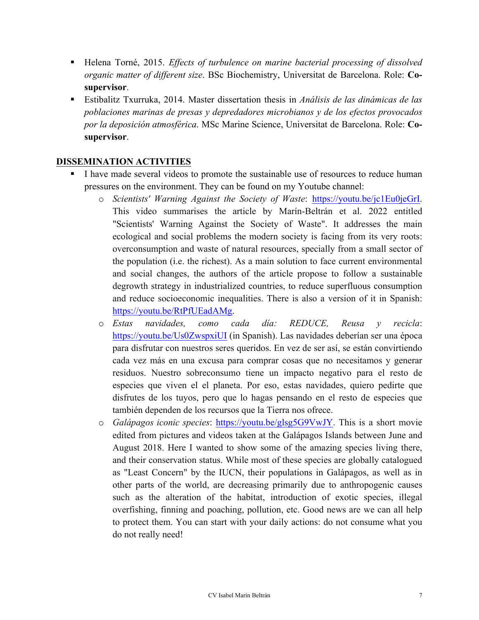- ! Helena Torné, 2015. *Effects of turbulence on marine bacterial processing of dissolved organic matter of different size*. BSc Biochemistry, Universitat de Barcelona. Role: **Cosupervisor**.
- ! Estibalitz Txurruka, 2014. Master dissertation thesis in *Análisis de las dinámicas de las poblaciones marinas de presas y depredadores microbianos y de los efectos provocados por la deposición atmosférica*. MSc Marine Science, Universitat de Barcelona. Role: **Cosupervisor**.

### **DISSEMINATION ACTIVITIES**

- ! I have made several videos to promote the sustainable use of resources to reduce human pressures on the environment. They can be found on my Youtube channel:
	- o *Scientists' Warning Against the Society of Waste*: https://youtu.be/jc1Eu0jeGrI. This video summarises the article by Marín-Beltrán et al. 2022 entitled "Scientists' Warning Against the Society of Waste". It addresses the main ecological and social problems the modern society is facing from its very roots: overconsumption and waste of natural resources, specially from a small sector of the population (i.e. the richest). As a main solution to face current environmental and social changes, the authors of the article propose to follow a sustainable degrowth strategy in industrialized countries, to reduce superfluous consumption and reduce socioeconomic inequalities. There is also a version of it in Spanish: https://youtu.be/RtPfUEadAMg.
	- o *Estas navidades, como cada día: REDUCE, Reusa y recicla*: https://youtu.be/Us0ZwspxiUI (in Spanish). Las navidades deberían ser una época para disfrutar con nuestros seres queridos. En vez de ser así, se están convirtiendo cada vez más en una excusa para comprar cosas que no necesitamos y generar residuos. Nuestro sobreconsumo tiene un impacto negativo para el resto de especies que viven el el planeta. Por eso, estas navidades, quiero pedirte que disfrutes de los tuyos, pero que lo hagas pensando en el resto de especies que también dependen de los recursos que la Tierra nos ofrece.
	- o *Galápagos iconic species*: https://youtu.be/glsg5G9VwJY. This is a short movie edited from pictures and videos taken at the Galápagos Islands between June and August 2018. Here I wanted to show some of the amazing species living there, and their conservation status. While most of these species are globally catalogued as "Least Concern" by the IUCN, their populations in Galápagos, as well as in other parts of the world, are decreasing primarily due to anthropogenic causes such as the alteration of the habitat, introduction of exotic species, illegal overfishing, finning and poaching, pollution, etc. Good news are we can all help to protect them. You can start with your daily actions: do not consume what you do not really need!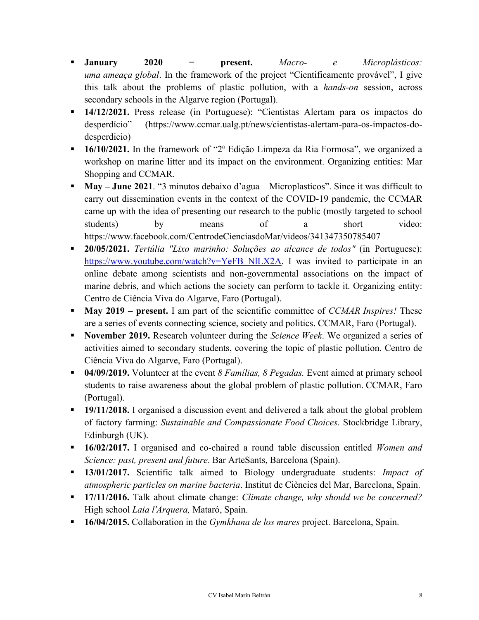- ! **January 2020 − present.** *Macro- e Microplásticos: uma ameaça global*. In the framework of the project "Cientificamente provável", I give this talk about the problems of plastic pollution, with a *hands-on* session, across secondary schools in the Algarve region (Portugal).
- ! **14/12/2021.** Press release (in Portuguese): "Cientistas Alertam para os impactos do desperdício" (https://www.ccmar.ualg.pt/news/cientistas-alertam-para-os-impactos-dodesperdicio)
- ! **16/10/2021.** In the framework of "2ª Edição Limpeza da Ria Formosa", we organized a workshop on marine litter and its impact on the environment. Organizing entities: Mar Shopping and CCMAR.
- ! **May – June 2021**. "3 minutos debaixo d'agua Microplasticos". Since it was difficult to carry out dissemination events in the context of the COVID-19 pandemic, the CCMAR came up with the idea of presenting our research to the public (mostly targeted to school students) by means of a short video: https://www.facebook.com/CentrodeCienciasdoMar/videos/341347350785407
- ! **20/05/2021.** *Tertúlia "Lixo marinho: Soluções ao alcance de todos"* (in Portuguese): https://www.youtube.com/watch?v=YeFB\_NlLX2A. I was invited to participate in an online debate among scientists and non-governmental associations on the impact of marine debris, and which actions the society can perform to tackle it. Organizing entity: Centro de Ciência Viva do Algarve, Faro (Portugal).
- ! **May 2019 – present.** I am part of the scientific committee of *CCMAR Inspires!* These are a series of events connecting science, society and politics. CCMAR, Faro (Portugal).
- ! **November 2019.** Research volunteer during the *Science Week*. We organized a series of activities aimed to secondary students, covering the topic of plastic pollution. Centro de Ciência Viva do Algarve, Faro (Portugal).
- ! **04/09/2019.** Volunteer at the event *8 Famílias, 8 Pegadas.* Event aimed at primary school students to raise awareness about the global problem of plastic pollution. CCMAR, Faro (Portugal).
- ! **19/11/2018.** I organised a discussion event and delivered a talk about the global problem of factory farming: *Sustainable and Compassionate Food Choices*. Stockbridge Library, Edinburgh (UK).
- ! **16/02/2017.** I organised and co-chaired a round table discussion entitled *Women and Science: past, present and future*. Bar ArteSants, Barcelona (Spain).
- ! **13/01/2017.** Scientific talk aimed to Biology undergraduate students: *Impact of atmospheric particles on marine bacteria*. Institut de Ciències del Mar, Barcelona, Spain.
- ! **17/11/2016.** Talk about climate change: *Climate change, why should we be concerned?*  High school *Laia l'Arquera,* Mataró, Spain.
- ! **16/04/2015.** Collaboration in the *Gymkhana de los mares* project. Barcelona, Spain.